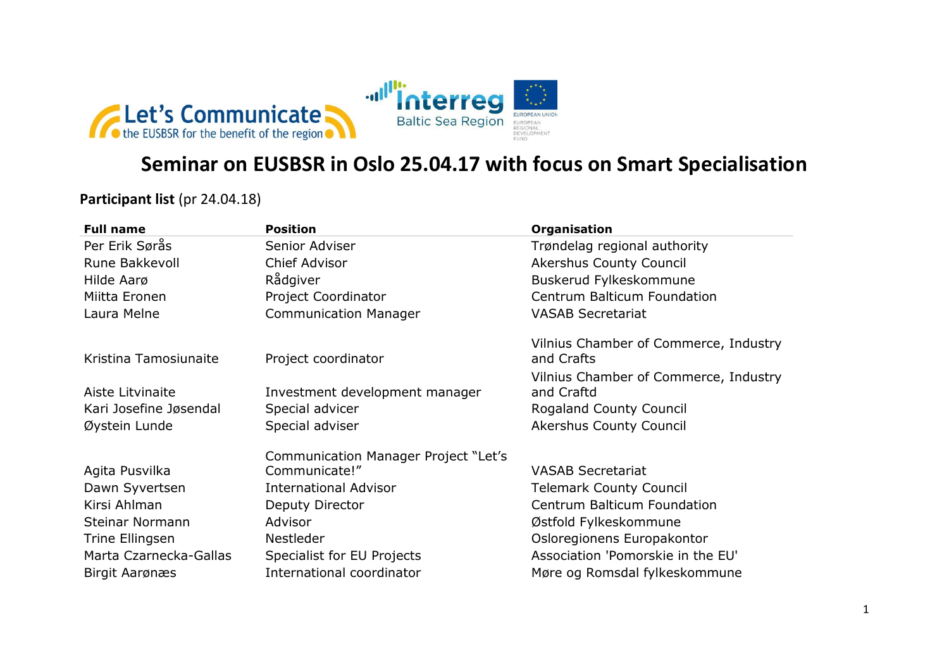

## **Seminar on EUSBSR in Oslo 25.04.17 with focus on Smart Specialisation**

**Participant list (pr 24.04.18)** 

| <b>Full name</b>       | <b>Position</b>                             | Organisation                                        |
|------------------------|---------------------------------------------|-----------------------------------------------------|
| Per Erik Sørås         | Senior Adviser                              | Trøndelag regional authority                        |
| Rune Bakkevoll         | Chief Advisor                               | <b>Akershus County Council</b>                      |
| Hilde Aarø             | Rådgiver                                    | Buskerud Fylkeskommune                              |
| Miitta Eronen          | Project Coordinator                         | Centrum Balticum Foundation                         |
| Laura Melne            | <b>Communication Manager</b>                | <b>VASAB Secretariat</b>                            |
| Kristina Tamosiunaite  | Project coordinator                         | Vilnius Chamber of Commerce, Industry<br>and Crafts |
|                        |                                             | Vilnius Chamber of Commerce, Industry               |
| Aiste Litvinaite       | Investment development manager              | and Craftd                                          |
| Kari Josefine Jøsendal | Special advicer                             | Rogaland County Council                             |
| Øystein Lunde          | Special adviser                             | <b>Akershus County Council</b>                      |
|                        | <b>Communication Manager Project "Let's</b> |                                                     |
| Agita Pusvilka         | Communicate!"                               | <b>VASAB Secretariat</b>                            |
| Dawn Syvertsen         | <b>International Advisor</b>                | <b>Telemark County Council</b>                      |
| Kirsi Ahlman           | Deputy Director                             | Centrum Balticum Foundation                         |
| Steinar Normann        | Advisor                                     | Østfold Fylkeskommune                               |
| Trine Ellingsen        | Nestleder                                   | Osloregionens Europakontor                          |
| Marta Czarnecka-Gallas | Specialist for EU Projects                  | Association 'Pomorskie in the EU'                   |
| Birgit Aarønæs         | International coordinator                   | Møre og Romsdal fylkeskommune                       |